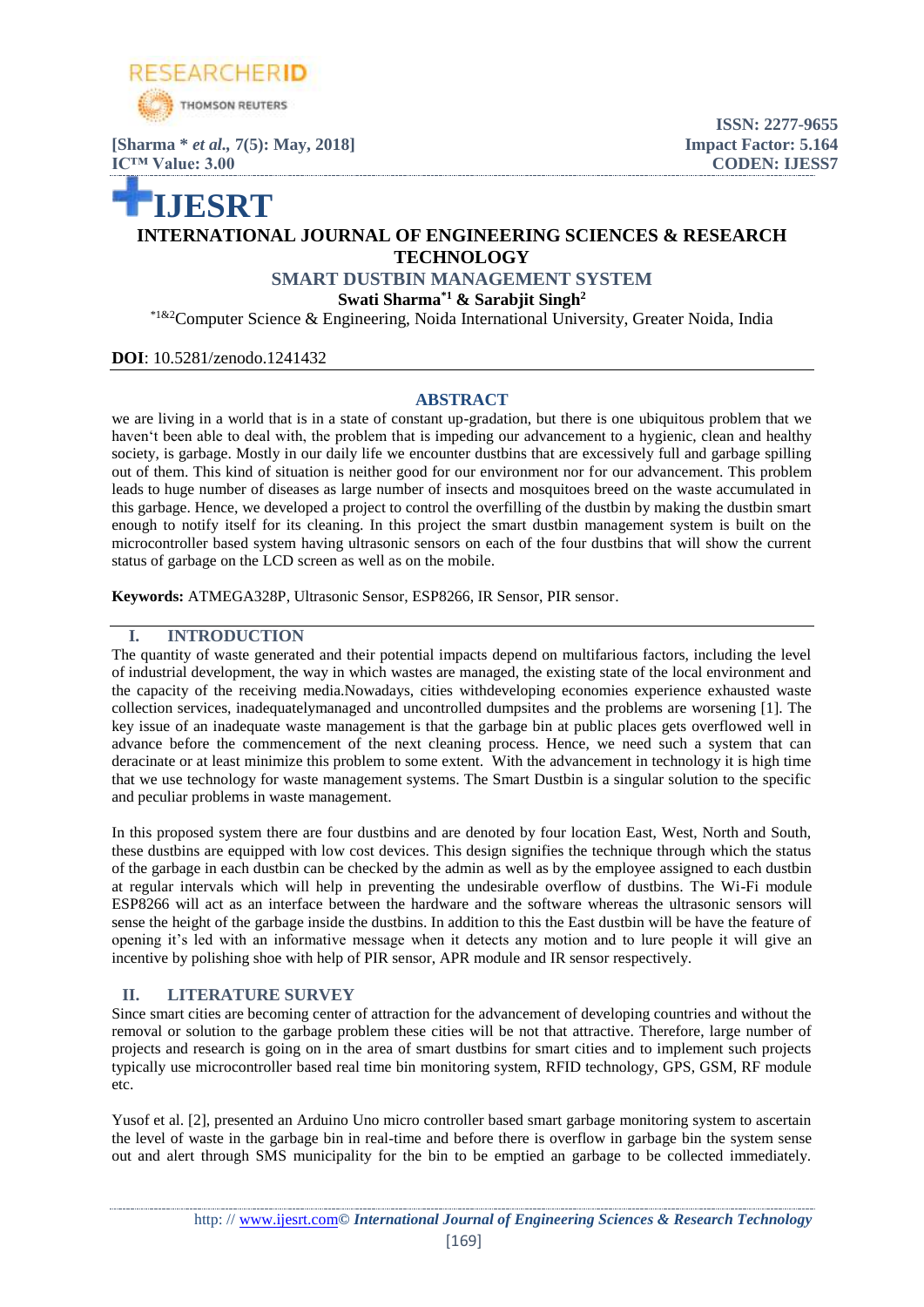

**[Sharma \*** *et al.,* **7(5): May, 2018] Impact Factor: 5.164 IC™ Value: 3.00 CODEN: IJESS7**

# **IJESRT INTERNATIONAL JOURNAL OF ENGINEERING SCIENCES & RESEARCH TECHNOLOGY**

**ISSN: 2277-9655**

**SMART DUSTBIN MANAGEMENT SYSTEM**

**Swati Sharma\*1 & Sarabjit Singh<sup>2</sup>**

\*1&2Computer Science & Engineering, Noida International University, Greater Noida, India

## **DOI**: 10.5281/zenodo.1241432

## **ABSTRACT**

we are living in a world that is in a state of constant up-gradation, but there is one ubiquitous problem that we haven't been able to deal with, the problem that is impeding our advancement to a hygienic, clean and healthy society, is garbage. Mostly in our daily life we encounter dustbins that are excessively full and garbage spilling out of them. This kind of situation is neither good for our environment nor for our advancement. This problem leads to huge number of diseases as large number of insects and mosquitoes breed on the waste accumulated in this garbage. Hence, we developed a project to control the overfilling of the dustbin by making the dustbin smart enough to notify itself for its cleaning. In this project the smart dustbin management system is built on the microcontroller based system having ultrasonic sensors on each of the four dustbins that will show the current status of garbage on the LCD screen as well as on the mobile.

**Keywords:** ATMEGA328P, Ultrasonic Sensor, ESP8266, IR Sensor, PIR sensor.

## **I. INTRODUCTION**

The quantity of waste generated and their potential impacts depend on multifarious factors, including the level of industrial development, the way in which wastes are managed, the existing state of the local environment and the capacity of the receiving media.Nowadays, cities withdeveloping economies experience exhausted waste collection services, inadequatelymanaged and uncontrolled dumpsites and the problems are worsening [1]. The key issue of an inadequate waste management is that the garbage bin at public places gets overflowed well in advance before the commencement of the next cleaning process. Hence, we need such a system that can deracinate or at least minimize this problem to some extent. With the advancement in technology it is high time that we use technology for waste management systems. The Smart Dustbin is a singular solution to the specific and peculiar problems in waste management.

In this proposed system there are four dustbins and are denoted by four location East, West, North and South, these dustbins are equipped with low cost devices. This design signifies the technique through which the status of the garbage in each dustbin can be checked by the admin as well as by the employee assigned to each dustbin at regular intervals which will help in preventing the undesirable overflow of dustbins. The Wi-Fi module ESP8266 will act as an interface between the hardware and the software whereas the ultrasonic sensors will sense the height of the garbage inside the dustbins. In addition to this the East dustbin will be have the feature of opening it's led with an informative message when it detects any motion and to lure people it will give an incentive by polishing shoe with help of PIR sensor, APR module and IR sensor respectively.

## **II. LITERATURE SURVEY**

Since smart cities are becoming center of attraction for the advancement of developing countries and without the removal or solution to the garbage problem these cities will be not that attractive. Therefore, large number of projects and research is going on in the area of smart dustbins for smart cities and to implement such projects typically use microcontroller based real time bin monitoring system, RFID technology, GPS, GSM, RF module etc.

Yusof et al. [2], presented an Arduino Uno micro controller based smart garbage monitoring system to ascertain the level of waste in the garbage bin in real-time and before there is overflow in garbage bin the system sense out and alert through SMS municipality for the bin to be emptied an garbage to be collected immediately.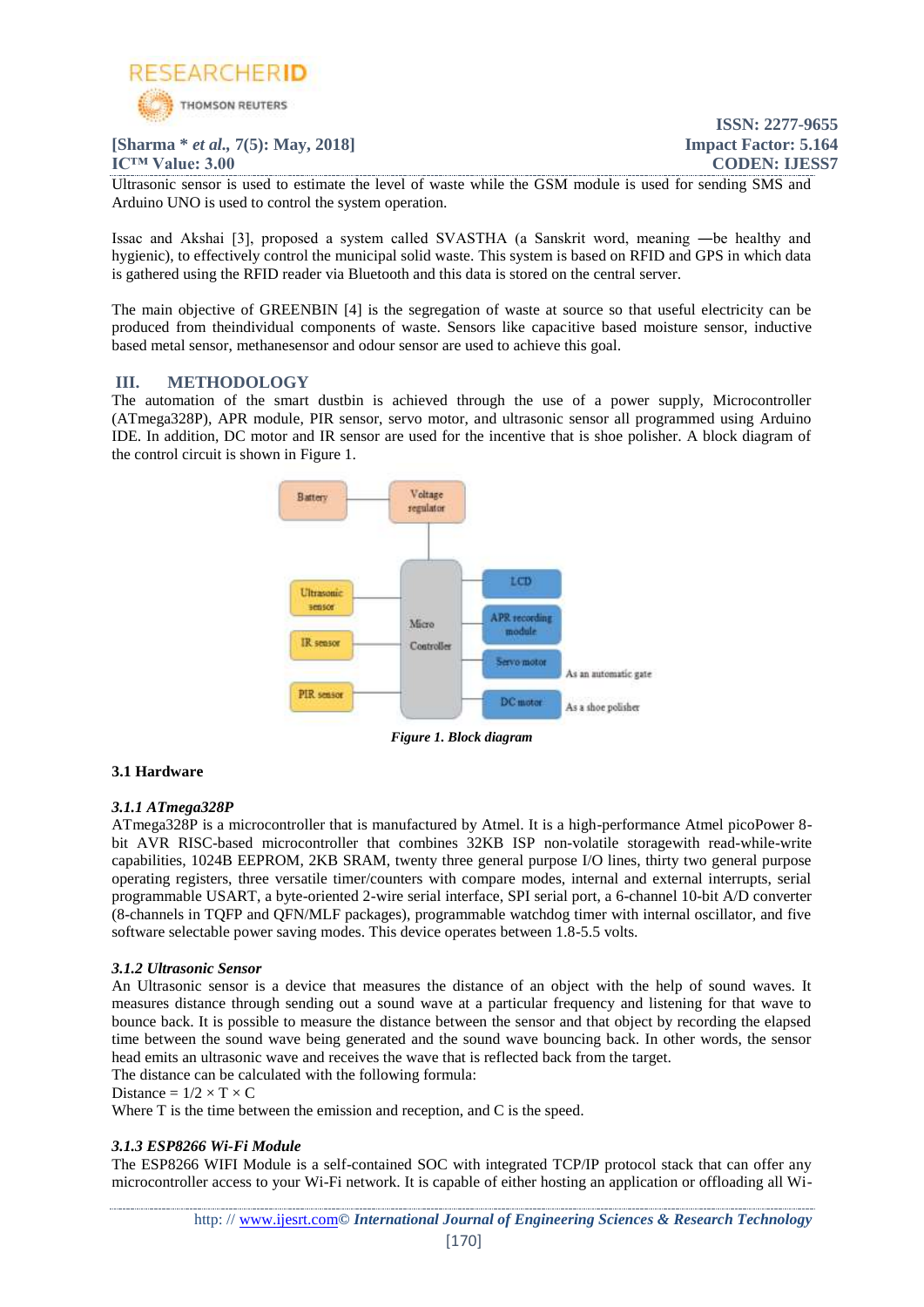

## **[Sharma \*** *et al.,* **7(5): May, 2018] Impact Factor: 5.164**

**IC™ Value: 3.00 CODEN: IJESS7**

**ISSN: 2277-9655**

Ultrasonic sensor is used to estimate the level of waste while the GSM module is used for sending SMS and Arduino UNO is used to control the system operation.

Issac and Akshai [3], proposed a system called SVASTHA (a Sanskrit word, meaning ―be healthy and hygienic), to effectively control the municipal solid waste. This system is based on RFID and GPS in which data is gathered using the RFID reader via Bluetooth and this data is stored on the central server.

The main objective of GREENBIN [4] is the segregation of waste at source so that useful electricity can be produced from theindividual components of waste. Sensors like capacitive based moisture sensor, inductive based metal sensor, methanesensor and odour sensor are used to achieve this goal.

## **III. METHODOLOGY**

The automation of the smart dustbin is achieved through the use of a power supply, Microcontroller (ATmega328P), APR module, PIR sensor, servo motor, and ultrasonic sensor all programmed using Arduino IDE. In addition, DC motor and IR sensor are used for the incentive that is shoe polisher. A block diagram of the control circuit is shown in Figure 1.



*Figure 1. Block diagram*

## **3.1 Hardware**

## *3.1.1 ATmega328P*

ATmega328P is a microcontroller that is manufactured by Atmel. It is a high-performance Atmel picoPower 8 bit AVR RISC-based microcontroller that combines 32KB ISP non-volatile storagewith read-while-write capabilities, 1024B EEPROM, 2KB SRAM, twenty three general purpose I/O lines, thirty two general purpose operating registers, three versatile timer/counters with compare modes, internal and external interrupts, serial programmable USART, a byte-oriented 2-wire serial interface, SPI serial port, a 6-channel 10-bit A/D converter (8-channels in TQFP and QFN/MLF packages), programmable watchdog timer with internal oscillator, and five software selectable power saving modes. This device operates between 1.8-5.5 volts.

## *3.1.2 Ultrasonic Sensor*

An Ultrasonic sensor is a device that measures the distance of an object with the help of sound waves. It measures distance through sending out a sound wave at a particular frequency and listening for that wave to bounce back. It is possible to measure the distance between the sensor and that object by recording the elapsed time between the sound wave being generated and the sound wave bouncing back. In other words, the sensor head emits an ultrasonic wave and receives the wave that is reflected back from the target.

## The distance can be calculated with the following formula:

Distance =  $1/2 \times T \times C$ 

Where T is the time between the emission and reception, and C is the speed.

## *3.1.3 ESP8266 Wi-Fi Module*

The ESP8266 WIFI Module is a self-contained SOC with integrated TCP/IP protocol stack that can offer any microcontroller access to your Wi-Fi network. It is capable of either hosting an application or offloading all Wi-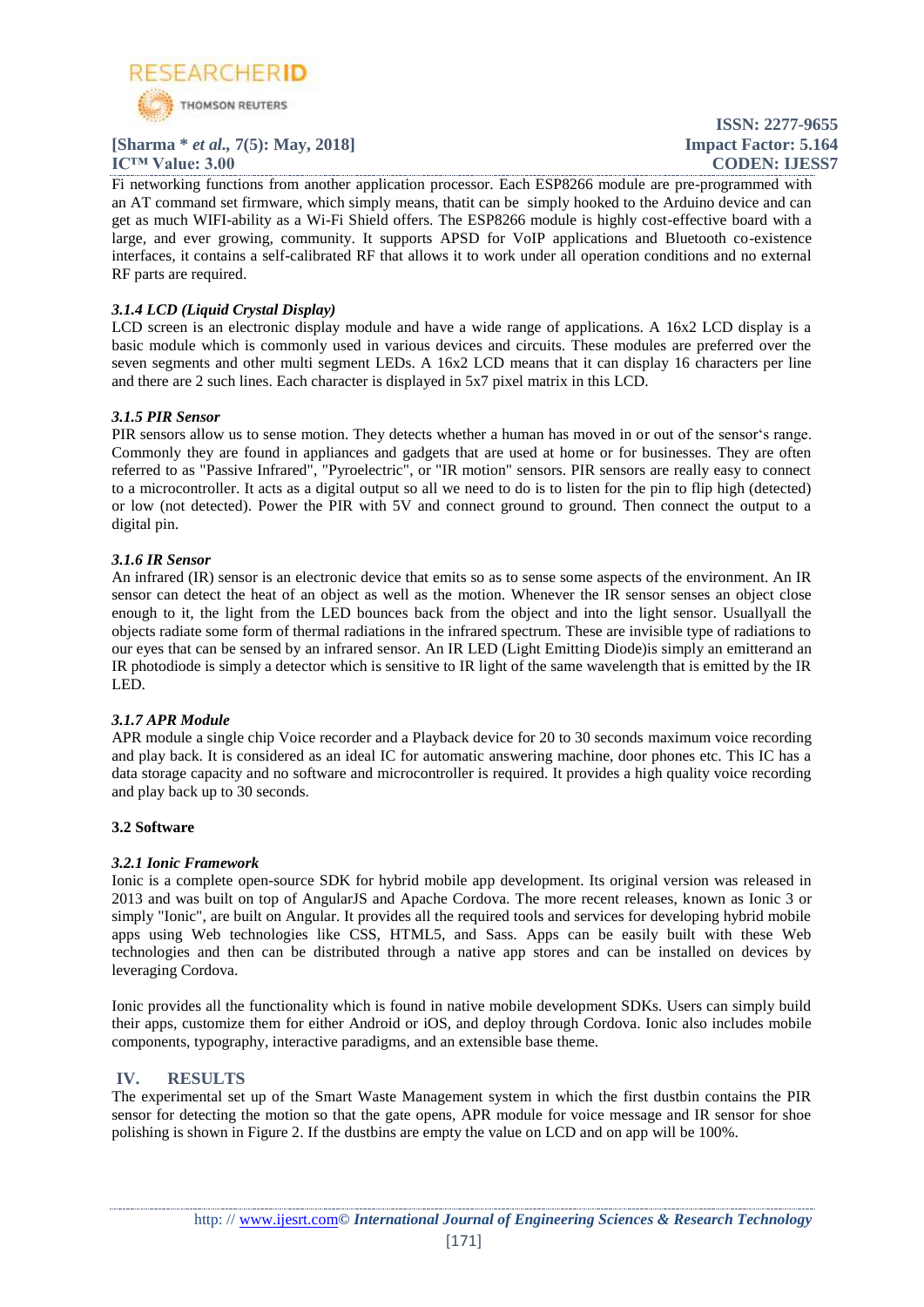

## **[Sharma \*** *et al.,* **7(5): May, 2018] Impact Factor: 5.164**

**ISSN: 2277-9655 IC<sup>TM</sup> Value: 3.00 CODEN: IJESS7** 

Fi networking functions from another application processor. Each ESP8266 module are pre-programmed with an AT command set firmware, which simply means, thatit can be simply hooked to the Arduino device and can get as much WIFI-ability as a Wi-Fi Shield offers. The ESP8266 module is highly cost-effective board with a large, and ever growing, community. It supports APSD for VoIP applications and Bluetooth co-existence interfaces, it contains a self-calibrated RF that allows it to work under all operation conditions and no external RF parts are required.

## *3.1.4 LCD (Liquid Crystal Display)*

LCD screen is an electronic display module and have a wide range of applications. A 16x2 LCD display is a basic module which is commonly used in various devices and circuits. These modules are preferred over the seven segments and other multi segment LEDs. A 16x2 LCD means that it can display 16 characters per line and there are 2 such lines. Each character is displayed in 5x7 pixel matrix in this LCD.

## *3.1.5 PIR Sensor*

PIR sensors allow us to sense motion. They detects whether a human has moved in or out of the sensor's range. Commonly they are found in appliances and gadgets that are used at home or for businesses. They are often referred to as "Passive Infrared", "Pyroelectric", or "IR motion" sensors. PIR sensors are really easy to connect to a microcontroller. It acts as a digital output so all we need to do is to listen for the pin to flip high (detected) or low (not detected). Power the PIR with 5V and connect ground to ground. Then connect the output to a digital pin.

## *3.1.6 IR Sensor*

An infrared (IR) sensor is an electronic device that emits so as to sense some aspects of the environment. An IR sensor can detect the heat of an object as well as the motion. Whenever the IR sensor senses an object close enough to it, the light from the LED bounces back from the object and into the light sensor. Usuallyall the objects radiate some form of thermal radiations in the infrared spectrum. These are invisible type of radiations to our eyes that can be sensed by an infrared sensor. An IR LED (Light Emitting Diode)is simply an emitterand an IR photodiode is simply a detector which is sensitive to IR light of the same wavelength that is emitted by the IR LED.

## *3.1.7 APR Module*

APR module a single chip Voice recorder and a Playback device for 20 to 30 seconds maximum voice recording and play back. It is considered as an ideal IC for automatic answering machine, door phones etc. This IC has a data storage capacity and no software and microcontroller is required. It provides a high quality voice recording and play back up to 30 seconds.

## **3.2 Software**

## *3.2.1 Ionic Framework*

Ionic is a complete open-source SDK for hybrid mobile app development. Its original version was released in 2013 and was built on top of AngularJS and Apache Cordova. The more recent releases, known as Ionic 3 or simply "Ionic", are built on Angular. It provides all the required tools and services for developing hybrid mobile apps using Web technologies like CSS, HTML5, and Sass. Apps can be easily built with these Web technologies and then can be distributed through a native app stores and can be installed on devices by leveraging Cordova.

Ionic provides all the functionality which is found in native mobile development SDKs. Users can simply build their apps, customize them for either Android or iOS, and deploy through Cordova. Ionic also includes mobile components, typography, interactive paradigms, and an extensible base theme.

## **IV. RESULTS**

The experimental set up of the Smart Waste Management system in which the first dustbin contains the PIR sensor for detecting the motion so that the gate opens, APR module for voice message and IR sensor for shoe polishing is shown in Figure 2. If the dustbins are empty the value on LCD and on app will be 100%.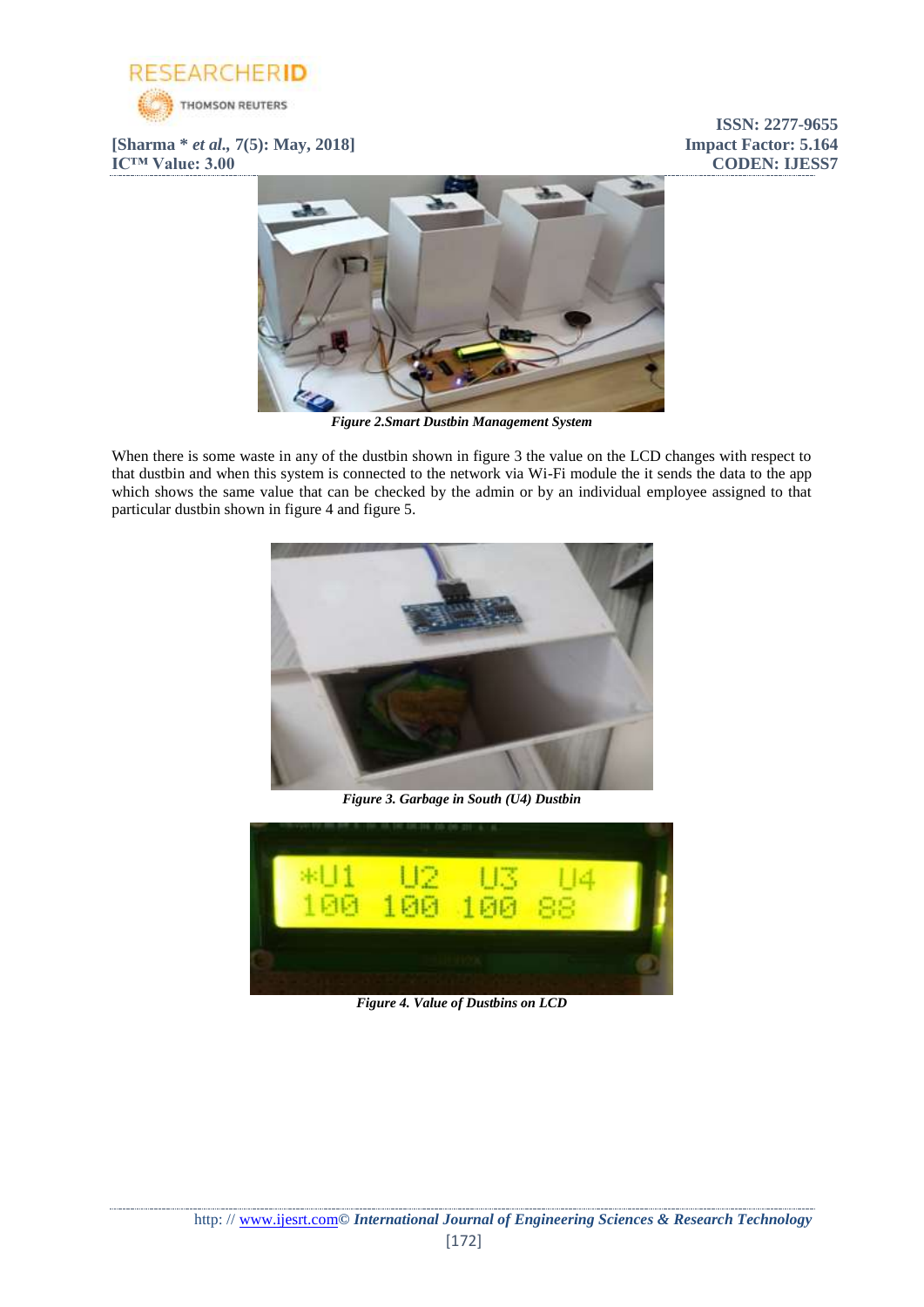

**[Sharma \*** *et al.,* **7(5): May, 2018] Impact Factor: 5.164 IC<sup>™</sup> Value: 3.00 CODEN: IJESS7** 

**ISSN: 2277-9655**



*Figure 2.Smart Dustbin Management System*

When there is some waste in any of the dustbin shown in figure 3 the value on the LCD changes with respect to that dustbin and when this system is connected to the network via Wi-Fi module the it sends the data to the app which shows the same value that can be checked by the admin or by an individual employee assigned to that particular dustbin shown in figure 4 and figure 5.



*Figure 3. Garbage in South (U4) Dustbin*



*Figure 4. Value of Dustbins on LCD*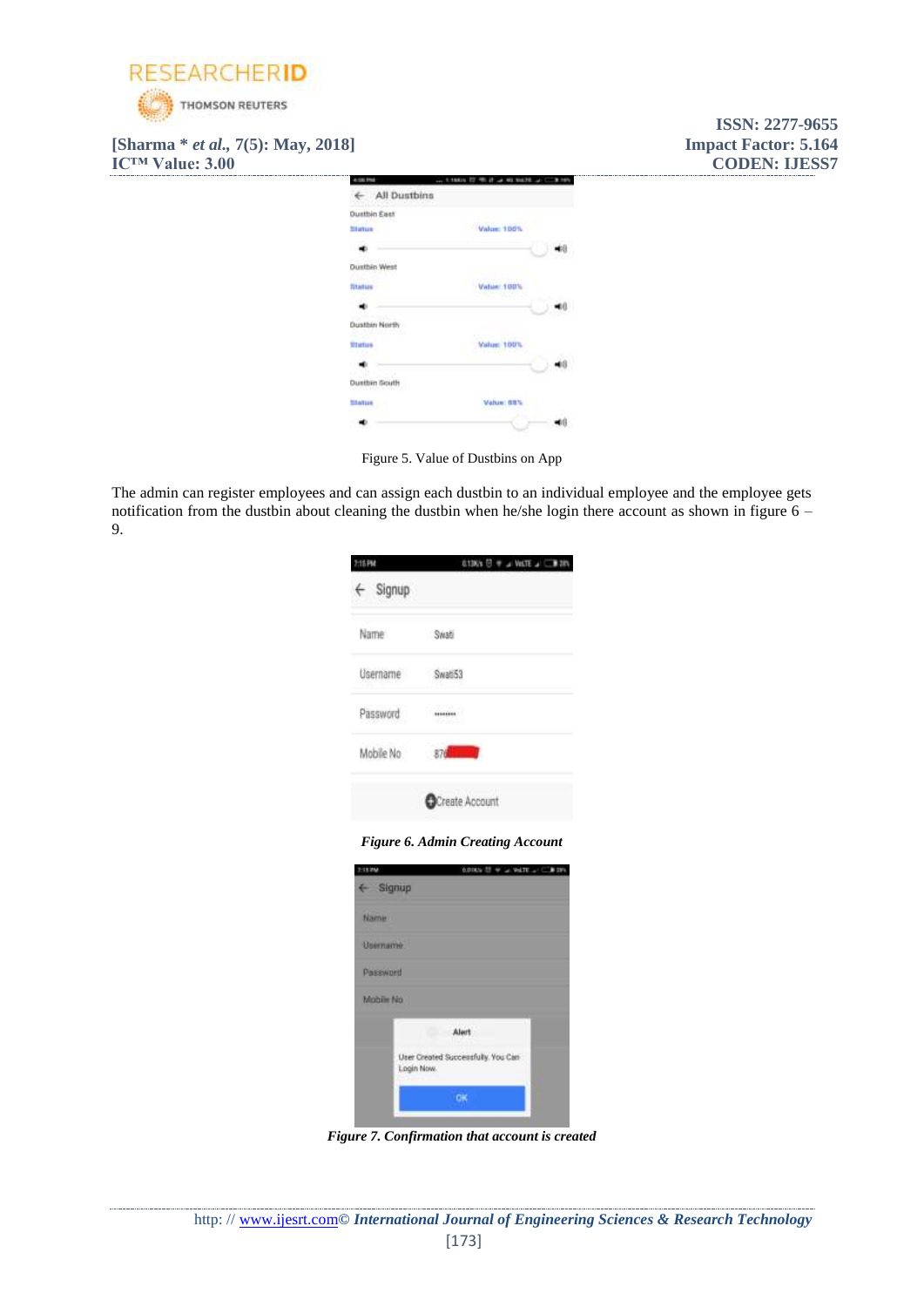

**[Sharma \*** *et al.,* **7(5): May, 2018] Impact Factor: 5.164 IC™ Value: 3.00 CODEN: IJESS7** 



Figure 5. Value of Dustbins on App

The admin can register employees and can assign each dustbin to an individual employee and the employee gets notification from the dustbin about cleaning the dustbin when he/she login there account as shown in figure 6 – 9.

| 2:15 PM                       | <b>G13K's <sup>[]</sup> + J VoLTE J B 28%</b> |
|-------------------------------|-----------------------------------------------|
| $\leftarrow$ Signup           |                                               |
| Name:                         | Swati                                         |
| Username                      | Swati53                                       |
| Password                      |                                               |
| Mobile No                     | $876 -$                                       |
|                               | <b>OCreate Account</b>                        |
|                               | <b>Figure 6. Admin Creating Account</b>       |
| 11.254<br>$\leftarrow$ Signup | COULD IT WILL WATER IT WERE                   |

| $\xi$ Signup    |                                                  |
|-----------------|--------------------------------------------------|
| Name            |                                                  |
| <b>Username</b> |                                                  |
| Password        |                                                  |
| Mobile No.      |                                                  |
|                 | Alert<br>a.                                      |
|                 | User Created Successfully. You Can<br>Login Now. |
|                 |                                                  |
|                 |                                                  |

*Figure 7. Confirmation that account is created*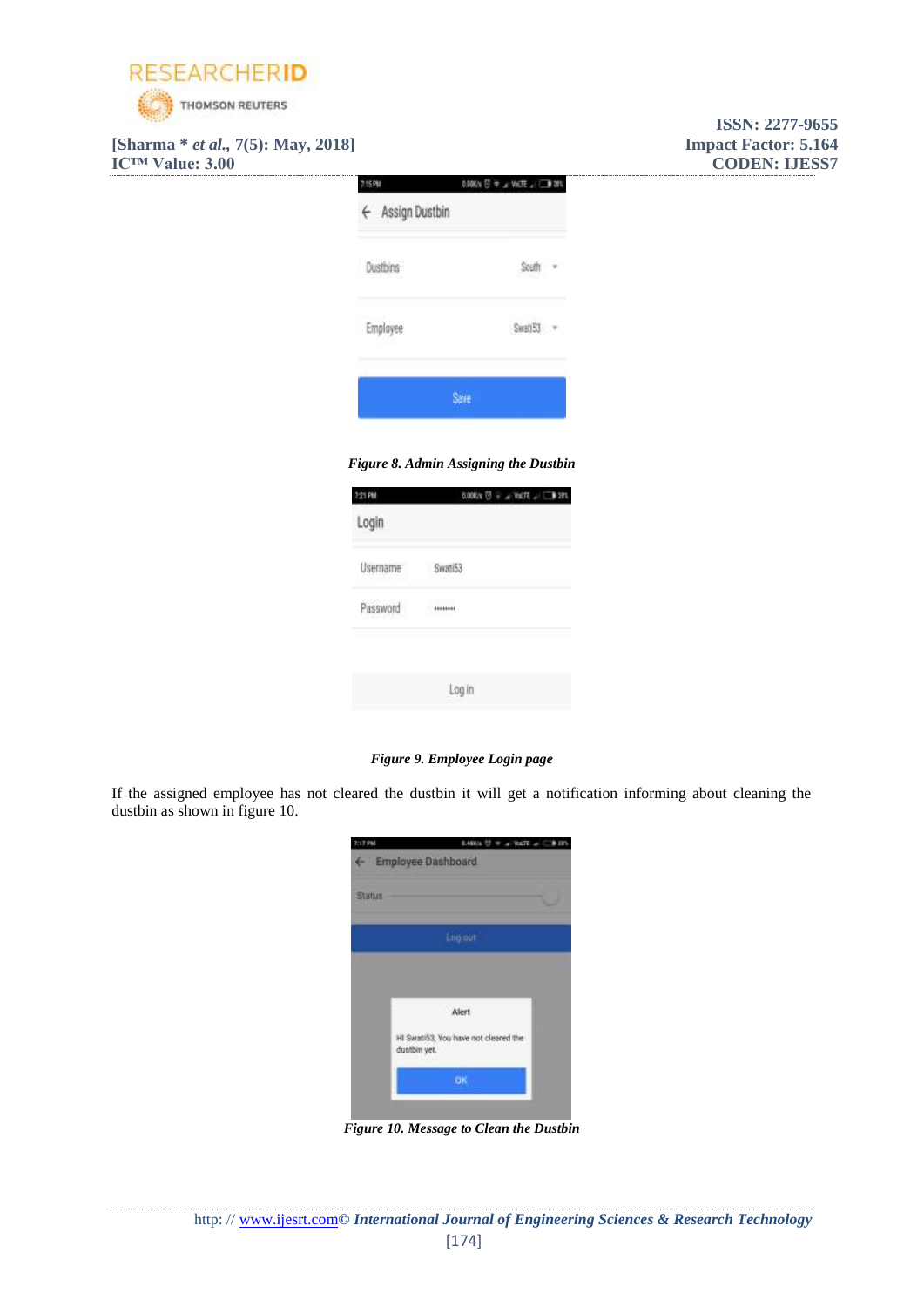

**[Sharma \*** *et al.,* **7(5): May, 2018] Impact Factor: 5.164 IC<sup>™</sup> Value: 3.00 CODEN: IJESS7** 

| 悠刚<br>← Assign Dustbin | D.DOKA 日 マ ェ VollE 」 二 20% |  |
|------------------------|----------------------------|--|
| Dustbins               | South                      |  |
| <b>Employee</b>        | Swati53                    |  |
|                        | Save                       |  |

*Figure 8. Admin Assigning the Dustbin*

| 2:21 PM  | $0.00008$ $\overline{U}$ $\overline{v}$ $\rightarrow$ $\overline{v}$ and $\overline{c}$ $\rightarrow$ $\overline{v}$ and |
|----------|--------------------------------------------------------------------------------------------------------------------------|
| Login    |                                                                                                                          |
| Username | Seati53                                                                                                                  |
| Password | Charles Corp.<br>$+ 10000000$                                                                                            |
|          |                                                                                                                          |
|          | Log in                                                                                                                   |

*Figure 9. Employee Login page*

If the assigned employee has not cleared the dustbin it will get a notification informing about cleaning the dustbin as shown in figure 10.

| 2:17 PM       | 8.488Js 12 = a Vol.TE at C \$ 13<br>← Employee Dashboard |  |
|---------------|----------------------------------------------------------|--|
| <b>Status</b> |                                                          |  |
|               | Loo out                                                  |  |
|               |                                                          |  |
|               | Alert                                                    |  |
|               | HI Swati53, You have not cleared the<br>dustibini yet.   |  |
|               | <b>CK.</b>                                               |  |

*Figure 10. Message to Clean the Dustbin*